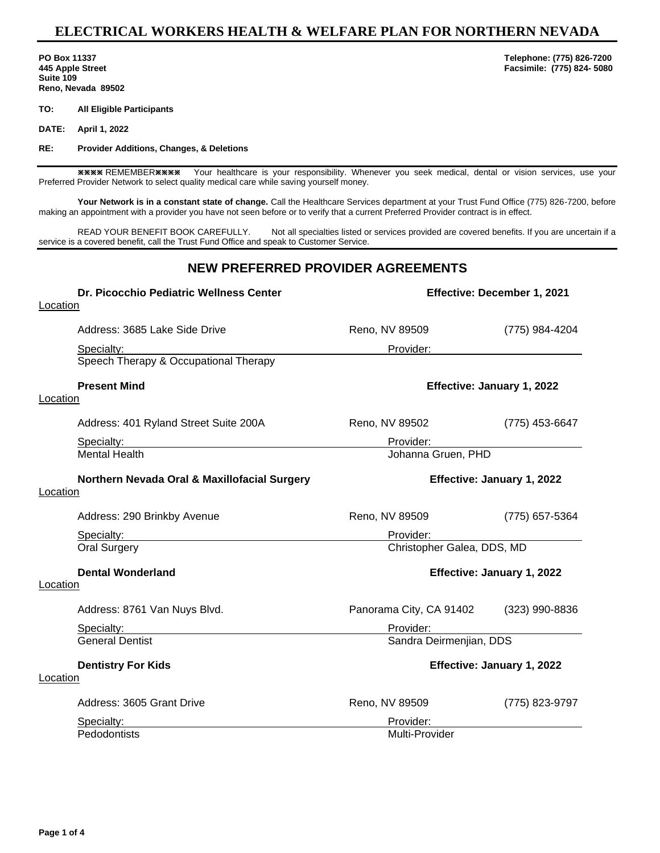## **ELECTRICAL WORKERS HEALTH & WELFARE PLAN FOR NORTHERN NEVADA**

**Suite 109 Reno, Nevada 89502**

**TO: All Eligible Participants**

**DATE: April 1, 2022**

**RE: Provider Additions, Changes, & Deletions** 

**\*\*\*\*** REMEMBER \*\*\* Your healthcare is your responsibility. Whenever you seek medical, dental or vision services, use your Preferred Provider Network to select quality medical care while saving yourself money.

**Your Network is in a constant state of change.** Call the Healthcare Services department at your Trust Fund Office (775) 826-7200, before making an appointment with a provider you have not seen before or to verify that a current Preferred Provider contract is in effect.

READ YOUR BENEFIT BOOK CAREFULLY. Not all specialties listed or services provided are covered benefits. If you are uncertain if a service is a covered benefit, call the Trust Fund Office and speak to Customer Service.

## **NEW PREFERRED PROVIDER AGREEMENTS**

| Dr. Picocchio Pediatric Wellness Center      | Effective: December 1, 2021 |                |
|----------------------------------------------|-----------------------------|----------------|
| Location                                     |                             |                |
| Address: 3685 Lake Side Drive                | Reno, NV 89509              | (775) 984-4204 |
| Specialty:                                   | Provider:                   |                |
| Speech Therapy & Occupational Therapy        |                             |                |
| <b>Present Mind</b>                          | Effective: January 1, 2022  |                |
| Location                                     |                             |                |
| Address: 401 Ryland Street Suite 200A        | Reno, NV 89502              | (775) 453-6647 |
| Specialty:                                   | Provider:                   |                |
| <b>Mental Health</b>                         | Johanna Gruen, PHD          |                |
| Northern Nevada Oral & Maxillofacial Surgery | Effective: January 1, 2022  |                |
| Location                                     |                             |                |
| Address: 290 Brinkby Avenue                  | Reno, NV 89509              | (775) 657-5364 |
| Specialty:                                   | Provider:                   |                |
| <b>Oral Surgery</b>                          | Christopher Galea, DDS, MD  |                |
| <b>Dental Wonderland</b>                     | Effective: January 1, 2022  |                |
| Location                                     |                             |                |
| Address: 8761 Van Nuys Blvd.                 | Panorama City, CA 91402     | (323) 990-8836 |
| Specialty:                                   | Provider:                   |                |
| <b>General Dentist</b>                       | Sandra Deirmenjian, DDS     |                |
| <b>Dentistry For Kids</b>                    | Effective: January 1, 2022  |                |
| Location                                     |                             |                |
| Address: 3605 Grant Drive                    | Reno, NV 89509              | (775) 823-9797 |
| Specialty:                                   | Provider:                   |                |
| Pedodontists                                 | Multi-Provider              |                |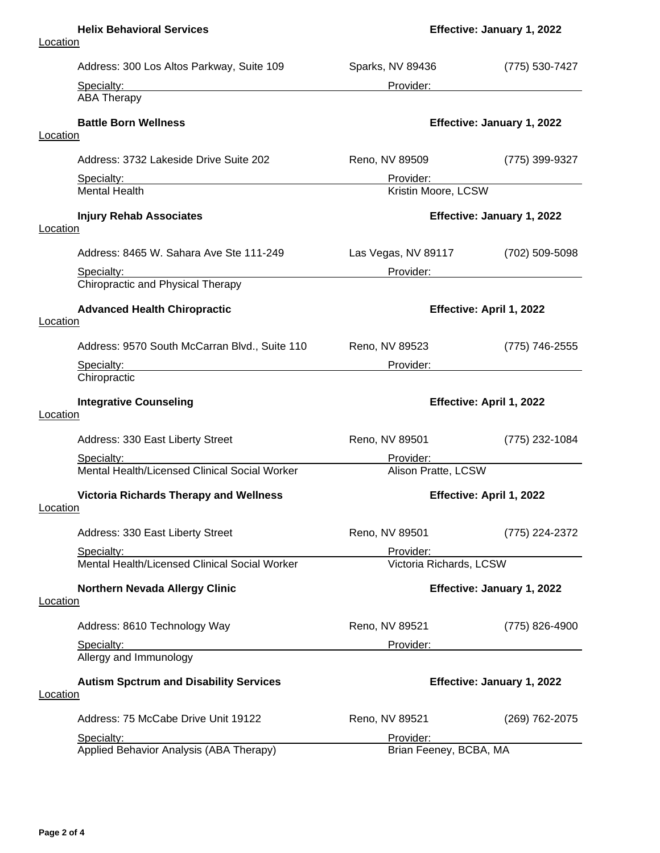### **Helix Behavioral Services Effective: January 1, 2022**

| Address: 300 Los Altos Parkway, Suite 109                        | Sparks, NV 89436                 | (775) 530-7427             |
|------------------------------------------------------------------|----------------------------------|----------------------------|
| Specialty:                                                       | Provider:                        |                            |
| <b>ABA Therapy</b>                                               |                                  |                            |
| <b>Battle Born Wellness</b>                                      | Effective: January 1, 2022       |                            |
| Location                                                         |                                  |                            |
| Address: 3732 Lakeside Drive Suite 202                           | Reno, NV 89509                   | (775) 399-9327             |
| Specialty:<br><b>Mental Health</b>                               | Provider:<br>Kristin Moore, LCSW |                            |
| <b>Injury Rehab Associates</b>                                   | Effective: January 1, 2022       |                            |
| Location                                                         |                                  |                            |
| Address: 8465 W. Sahara Ave Ste 111-249                          | Las Vegas, NV 89117              | (702) 509-5098             |
| Specialty:<br>Chiropractic and Physical Therapy                  | Provider:                        |                            |
|                                                                  |                                  |                            |
| <b>Advanced Health Chiropractic</b><br>Location                  | Effective: April 1, 2022         |                            |
| Address: 9570 South McCarran Blvd., Suite 110                    | Reno, NV 89523                   | (775) 746-2555             |
| Specialty:                                                       | Provider:                        |                            |
| Chiropractic                                                     |                                  |                            |
| <b>Integrative Counseling</b><br>Location                        | Effective: April 1, 2022         |                            |
| Address: 330 East Liberty Street                                 | Reno, NV 89501                   | (775) 232-1084             |
| Specialty:                                                       | Provider:                        |                            |
| Mental Health/Licensed Clinical Social Worker                    | Alison Pratte, LCSW              |                            |
| <b>Victoria Richards Therapy and Wellness</b>                    | Effective: April 1, 2022         |                            |
| Location                                                         |                                  |                            |
| Address: 330 East Liberty Street                                 | Reno, NV 89501                   | (775) 224-2372             |
| Specialty:                                                       | Provider:                        |                            |
| Mental Health/Licensed Clinical Social Worker                    | Victoria Richards, LCSW          |                            |
| <b>Northern Nevada Allergy Clinic</b><br><b>Location</b>         | Effective: January 1, 2022       |                            |
|                                                                  |                                  |                            |
| Address: 8610 Technology Way                                     | Reno, NV 89521                   | (775) 826-4900             |
| Specialty:                                                       | Provider:                        |                            |
| Allergy and Immunology                                           |                                  |                            |
| <b>Autism Spctrum and Disability Services</b><br><b>Location</b> |                                  | Effective: January 1, 2022 |
|                                                                  |                                  |                            |
| Address: 75 McCabe Drive Unit 19122                              | Reno, NV 89521                   | (269) 762-2075             |
| Specialty:                                                       | Provider:                        |                            |
| Applied Behavior Analysis (ABA Therapy)                          | Brian Feeney, BCBA, MA           |                            |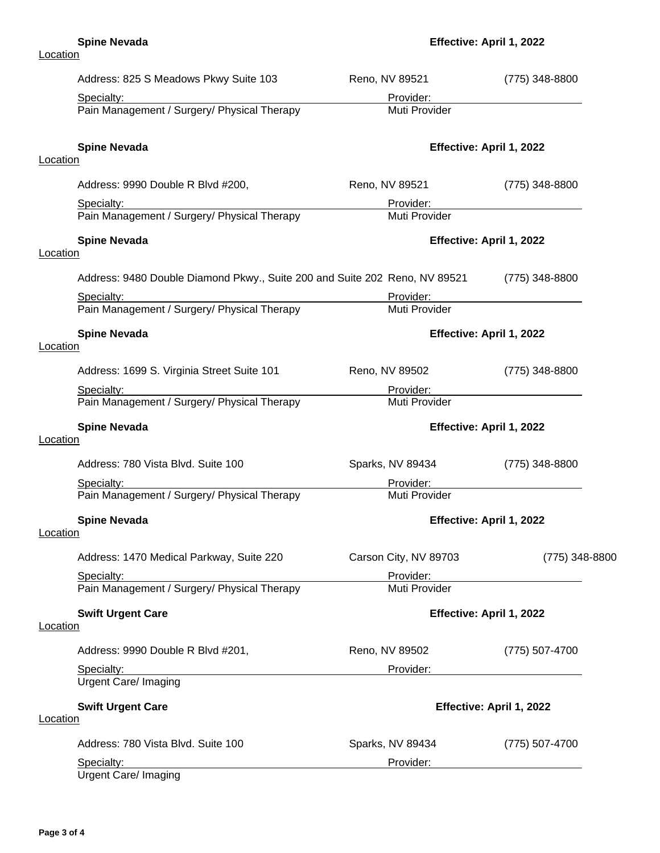| Address: 825 S Meadows Pkwy Suite 103                                                                                                         | Reno, NV 89521               | (775) 348-8800           |
|-----------------------------------------------------------------------------------------------------------------------------------------------|------------------------------|--------------------------|
| Specialty:                                                                                                                                    | Provider:                    |                          |
| Pain Management / Surgery/ Physical Therapy                                                                                                   | Muti Provider                |                          |
| <b>Spine Nevada</b>                                                                                                                           |                              | Effective: April 1, 2022 |
| Location                                                                                                                                      |                              |                          |
| Address: 9990 Double R Blvd #200,                                                                                                             | Reno, NV 89521               | (775) 348-8800           |
| Specialty:                                                                                                                                    | Provider:                    |                          |
| Pain Management / Surgery/ Physical Therapy                                                                                                   | Muti Provider                |                          |
| <b>Spine Nevada</b><br>Location                                                                                                               |                              | Effective: April 1, 2022 |
|                                                                                                                                               |                              |                          |
| Address: 9480 Double Diamond Pkwy., Suite 200 and Suite 202 Reno, NV 89521                                                                    |                              | $(775)$ 348-8800         |
| Specialty:                                                                                                                                    | Provider:                    |                          |
| Pain Management / Surgery/ Physical Therapy                                                                                                   | Muti Provider                |                          |
| <b>Spine Nevada</b>                                                                                                                           |                              | Effective: April 1, 2022 |
| Location                                                                                                                                      |                              |                          |
| Address: 1699 S. Virginia Street Suite 101                                                                                                    | Reno, NV 89502               | (775) 348-8800           |
| Specialty:                                                                                                                                    | Provider:                    |                          |
| Pain Management / Surgery/ Physical Therapy                                                                                                   | Muti Provider                |                          |
| <b>Spine Nevada</b><br>Location                                                                                                               | Effective: April 1, 2022     |                          |
|                                                                                                                                               |                              |                          |
| Address: 780 Vista Blvd. Suite 100                                                                                                            | Sparks, NV 89434             | $(775)$ 348-8800         |
| Specialty:                                                                                                                                    | Provider:                    |                          |
| Pain Management / Surgery/ Physical Therapy                                                                                                   | Muti Provider                |                          |
| <b>Spine Nevada</b>                                                                                                                           |                              | Effective: April 1, 2022 |
| Location                                                                                                                                      |                              |                          |
| Address: 1470 Medical Parkway, Suite 220                                                                                                      | Carson City, NV 89703        | (775) 348-8800           |
| Specialty:                                                                                                                                    | Provider:                    |                          |
| Pain Management / Surgery/ Physical Therapy                                                                                                   | Muti Provider                |                          |
| <b>Swift Urgent Care</b>                                                                                                                      |                              | Effective: April 1, 2022 |
| Location                                                                                                                                      |                              |                          |
| Address: 9990 Double R Blvd #201,                                                                                                             | Reno, NV 89502               | (775) 507-4700           |
| Specialty:                                                                                                                                    | Provider: New York Provider: |                          |
| <u> 1989 - John Stein, mars and de Brandenburg and de Brandenburg and de Brandenburg and de Brandenburg and de Br</u><br>Urgent Care/ Imaging |                              |                          |
| <b>Swift Urgent Care</b>                                                                                                                      |                              | Effective: April 1, 2022 |
| <b>Location</b>                                                                                                                               |                              |                          |
| Address: 780 Vista Blvd. Suite 100                                                                                                            | Sparks, NV 89434             | (775) 507-4700           |
| Specialty:                                                                                                                                    | Provider:                    |                          |
| Urgent Care/ Imaging                                                                                                                          |                              |                          |